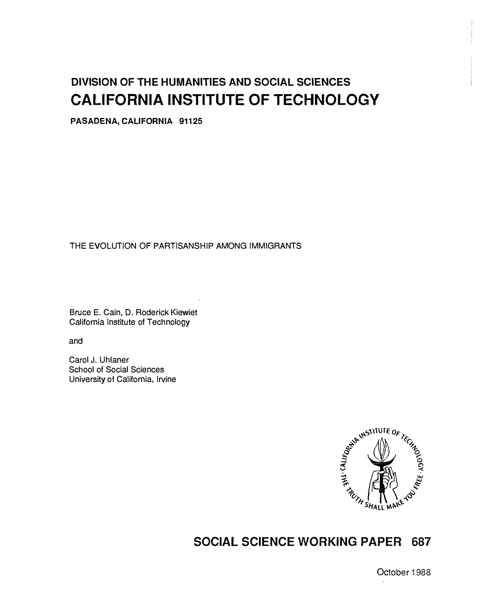# DIVISION OF THE HUMANITIES AND SOCIAL SCIENCES CALIFORNIA INSTITUTE OF TECHNOLOGY

PASADENA, CALIFORNIA 91125

# THE EVOLUTION OF PARTISANSHIP AMONG IMMIGRANTS

Bruce E. Cain, D. Roderick Kiewiet California Institute of Technology

and

Carol J. Uhlaner School of Social Sciences University of California, Irvine



# SOCIAL SCIENCE WORKING PAPER 687

October I 988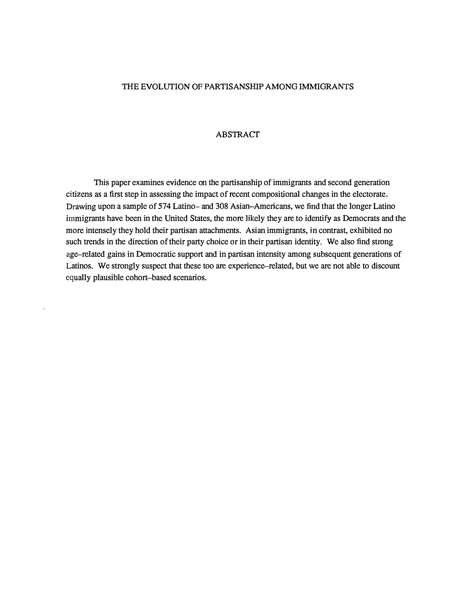#### THE EVOLUTION OF PARTISANSHIP AMONG IMMIGRANTS

#### ABSTRACT

This paper examines evidence on the partisanship of immigrants and second generation citizens as a first step in assessing the impact of recent compositional changes in the electorate. Drawing upon a sample of 574 Latino- and 308 Asian-Americans, we find that the longer Latino immigrants have been in the United States, the more likely they are to identify as Democrats and the more intensely they hold their partisan attachments. Asian immigrants, in contrast, exhibited no such trends in the direction of their party choice or in their partisan identity. We also find strong age-related gains in Democratic support and in partisan intensity among subsequent generations of Latinos. We strongly suspect that these too are experience-related, but we are not able to discount equally plausible cohort-based scenarios.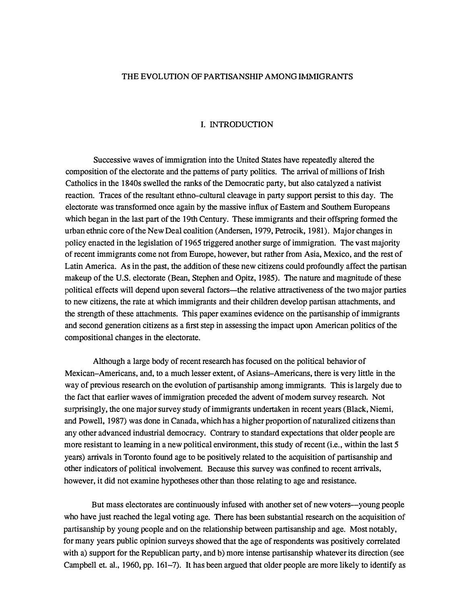#### THE EVOLUTION OF PARTISANSHIP AMONG IMMIGRANTS

#### I. INTRODUCTION

Successive waves of immigration into the United States have repeatedly altered the composition of the electorate and the patterns of party politics. The arrival of millions of Irish Catholics in the 1840s swelled the ranks of the Democratic party, but also catalyzed a nativist reaction. Traces of the resultant ethno-cultural cleavage in party support persist to this day. The electorate was transformed once again by the massive influx of Eastern and Southern Europeans which began in the last part of the 19th Century. These immigrants and their offspring formed the urban ethnic core of the New Deal coalition (Andersen, 1979, Petrocik, 1981). Major changes in policy enacted in the legislation of 1965 triggered another surge of immigration. The vast majority of recent immigrants come not from Europe, however, but rather from Asia, Mexico, and the rest of Latin America. As in the past, the addition of these new citizens could profoundly affect the partisan makeup of the U.S. electorate (Bean, Stephen and Opitz, 1985). The nature and magnitude of these political effects will depend upon several factors--the relative attractiveness of the two major parties to new citizens, the rate at which immigrants and their children develop partisan attachments, and the strength of these attachments. This paper examines evidence on the partisanship of immigrants and second generation citizens as a first step in assessing the impact upon American politics of the compositional changes in the electorate.

Although a large body of recent research has focused on the political behavior of Mexican-Americans, and, to a much lesser extent, of Asians-Americans, there is very little in the way of previous research on the evolution of partisanship among immigrants. This is largely due to the fact that earlier waves of immigration preceded the advent of modem survey research. Not surprisingly, the one major survey study of immigrants undertaken in recent years (Black, Niemi, and Powell, 1987) was done in Canada, which has a higher proportion of naturalized citizens than any other advanced industrial democracy. Contrary to standard expectations that older people are more resistant to learning in a new political environment, this study of recent (i.e., within the last 5 years) arrivals in Toronto found age to be positively related to the acquisition of partisanship and other indicators of political involvement. Because this survey was confined to recent arrivals, however, it did not examine hypotheses other than those relating to age and resistance.

But mass electorates are continuously infused with another set of new voters--young people who have just reached the legal voting age. There has been substantial research on the acquisition of partisanship by young people and on the relationship between partisanship and age. Most notably, for many years public opinion surveys showed that the age of respondents was positively correlated with a) support for the Republican party, and b) more intense partisanship whatever its direction (see Campbell et. al., 1960, pp. 161-7). It has been argued that older people are more likely to identify as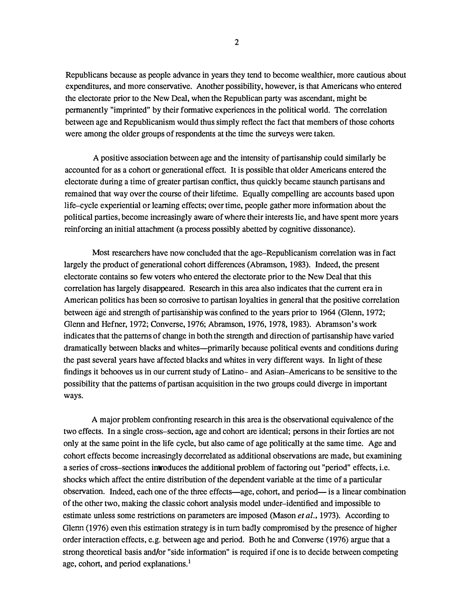Republicans because as people advance in years they tend to become wealthier, more cautious about expenditures, and more conservative. Another possibility, however, is that Americans who entered the electorate prior to the New Deal, when the Republican party was ascendant, might be permanently "imprinted" by their formative experiences in the political world. The correlation between age and Republicanism would thus simply reflect the fact that members of those cohorts were among the older groups of respondents at the time the surveys were taken.

A positive association between age and the intensity of partisanship could similarly be accounted for as a cohort or generational effect. It is possible that older Americans entered the electorate during a time of greater partisan conflict, thus quickly became staunch partisans and remained that way over the course of their lifetime. Equally compelling are accounts based upon life-cycle experiential or learning effects; over time, people gather more information about the political parties, become increasingly aware of where their interests lie, and have spent more years reinforcing an initial attachment (a process possibly abetted by cognitive dissonance).

Most researchers have now concluded that the age-Republicanism correlation was in fact largely the product of generational cohort differences (Abramson, 1983). Indeed, the present electorate contains so few voters who entered the electorate prior to the New Deal that this correlation has largely disappeared. Research in this area also indicates that the current era in American politics has been so corrosive to partisan loyalties in general that the positive correlation between age and strength of partisanship was confined to the years prior to 1964 (Glenn, 1972; Glenn and Hefner, 1972; Converse, 1976; Abramson, 1976, 1978, 1983). Abramson's work indicates that the patterns of change in both the strength and direction of partisanship have varied dramatically between blacks and whites-primarily because political events and conditions during the past several years have affected blacks and whites in very different ways. In light of these findings it behooves us in our current study of Latino- and Asian-Americans to be sensitive to the possibility that the patterns of partisan acquisition in the two groups could diverge in important ways.

A major problem confronting research in this area is the observational equivalence of the two effects. In a single cross-section, age and cohort are identical; persons in their forties are not only at the same point in the life cycle, but also came of age politically at the same time. Age and cohort effects become increasingly decorrelated as additional observations are made, but examining a series of cross-sections introduces the additional problem of factoring out "period" effects, i.e. shocks which affect the entire distribution of the dependent variable at the time of a particular observation. Indeed, each one of the three effects-age, cohort, and period- is a linear combination of the other two, making the classic cohort analysis model under-identified and impossible to estimate unless some restrictions on parameters are imposed (Mason et al., 1973). According to Glenn (1976) even this estimation strategy is in turn badly compromised by the presence of higher order interaction effects, e.g. between age and period. Both he and Converse (1976) argue that a strong theoretical basis and/or "side information" is required if one is to decide between competing age, cohort, and period explanations.<sup>1</sup>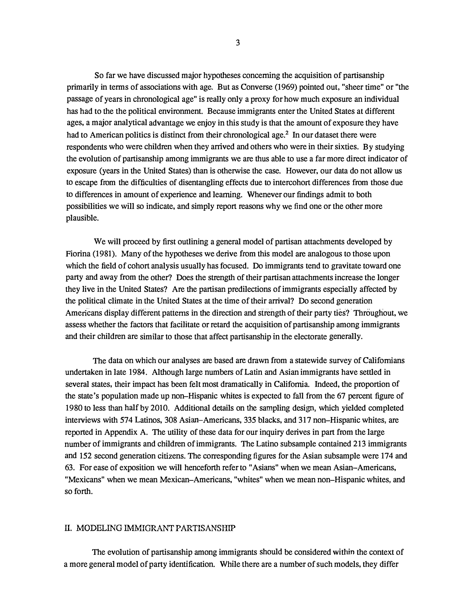So far we have discussed major hypotheses concerning the acquisition of partisanship primarily in terms of associations with age. But as Converse (1969) pointed out, "sheer time" or "the passage of years in chronological age" is really only a proxy for how much exposure an individual has had to the the political environment. Because immigrants enter the United States at different ages, a major analytical advantage we enjoy in this study is that the amount of exposure they have had to American politics is distinct from their chronological age.<sup>2</sup> In our dataset there were respondents who were children when they arrived and others who were in their sixties. By studying the evolution of partisanship among immigrants we are thus able to use a far more direct indicator of exposure (years in the United States) than is otherwise the case. However, our data do not allow us to escape from the difficulties of disentangling effects due to intercohort differences from those due to differences in amount of experience and learning. Whenever our findings admit to both possibilities we will so indicate, and simply report reasons why we find one or the other more plausible.

We will proceed by first outlining a general model of partisan attachments developed by Fiorina (1981). Many of the hypotheses we derive from this model are analogous to those upon which the field of cohort analysis usually has focused. Do immigrants tend to gravitate toward one party and away from the other? Does the strength of their partisan attachments increase the longer they live in the United States? Are the partisan predilections of immigrants especially affected by the political climate in the United States at the time of their arrival? Do second generation Americans display different patterns in the direction and strength of their party ties? Throughout, we assess whether the factors that facilitate or retard the acquisition of partisanship among immigrants and their children are similar to those that affect partisanship in the electorate generally.

The data on which our analyses are based are drawn from a statewide survey of Californians undertaken in late 1984. Although large numbers of Latin and Asian immigrants have settled in several states, their impact has been felt most dramatically in California. Indeed, the proportion of the state's population made up non-Hispanic whites is expected to fall from the 67 percent figure of 1980 to less than half by 2010. Additional details on the sampling design, which yielded completed interviews with 574 Latinos, 308 Asian-Americans, 335 blacks, and 317 non-Hispanic whites, are reported in Appendix A. The utility of these data for our inquiry derives in part from the large number of immigrants and children of immigrants. The Latino subsample contained 213 immigrants and 152 second generation citizens. The corresponding figures for the Asian subsample were 174 and 63. For ease of exposition we will henceforth refer to "Asians" when we mean Asian-Americans, "Mexicans" when we mean Mexican-Americans, "whites" when we mean non-Hispanic whites, and so forth.

## II. MODELING IMMIGRANT PARTISANSHIP

The evolution of partisanship among immigrants should be considered within the context of a more general model of party identification. While there are a number of such models, they differ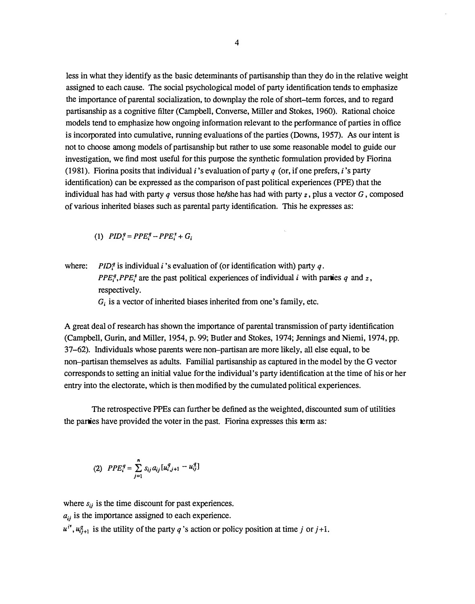less in what they identify as the basic determinants of partisanship than they do in the relative weight assigned to each cause. The social psychological model of party identification tends to emphasize the importance of parental socialization, to downplay the role of short-term forces, and to regard partisanship as a cognitive filter (Campbell, Converse, Miller and Stokes, 1960). Rational choice models tend to emphasize how ongoing information relevant to the performance of parties in office is incorporated into cumulative, running evaluations of the parties (Downs, 1957). As our intent is not to choose among models of partisanship but rather to use some reasonable model to guide our investigation, we find most useful for this purpose the synthetic formulation provided by Fiorina (1981). Fiorina posits that individual *i*'s evaluation of party  $q$  (or, if one prefers, *i*'s party identification) can be expressed as the comparison of past political experiences (PPE) that the individual has had with party q versus those he/she has had with party  $z$ , plus a vector  $G$ , composed of various inherited biases such as parental party identification. This he expresses as:

(1)  $PID_i^q = PPE_i^q - PPE_i^z + G_i$ 

where: PID<sup>*q*</sup> is individual *i*'s evaluation of (or identification with) party *q*.  $PPE_i^q, PPE_i^z$  are the past political experiences of individual i with parties q and z, respectively.

 $G_i$  is a vector of inherited biases inherited from one's family, etc.

A great deal of research has shown the importance of parental transmission of party identification (Campbell, Gurin, and Miller, 1954, p. 99; Butler and Stokes, 1974; Jennings and Niemi, 1974, pp. 37-62). Individuals whose parents were non-partisan are more likely, all else equal, to be non-partisan themselves as adults. Familial partisanship as captured in the model by the G vector corresponds to setting an initial value for the individual's party identification at the time of his or her entry into the electorate, which is then modified by the cumulated political experiences.

The retrospective PPEs can further be defined as the weighted, discounted sum of utilities the parties have provided the voter in the past. Fiorina expresses this term as:

(2) 
$$
PPE_i^q = \sum_{j=1}^n s_{ij} a_{ij} [u_{i,j+1}^q - u_{ij}^q]
$$

where  $s_{ij}$  is the time discount for past experiences.  $a_{ij}$  is the importance assigned to each experience.  $u^{i'}$ ,  $u_{i+1}^g$  is the utility of the party q's action or policy position at time j or j+1.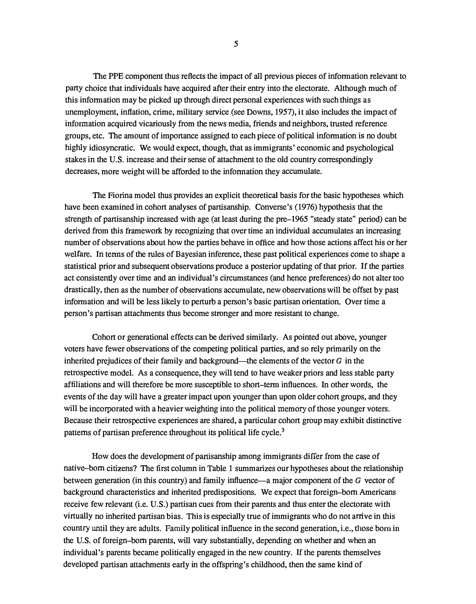The PPE component thus reflects the impact of all previous pieces of information relevant to party choice that individuals have acquired after their entry into the electorate. Although much of this information may be picked up through direct personal experiences with such things as unemployment, inflation, crime, military service (see Downs, 1957), it also includes the impact of information acquired vicariously from the news media, friends and neighbors, trusted reference groups, etc. The amount of importance assigned to each piece of political information is no doubt highly idiosyncratic. We would expect, though, that as immigrants' economic and psychological stakes in the U.S. increase and their sense of attachment to the old country correspondingly decreases, more weight will be afforded to the information they accumulate.

The Fiorina model thus provides an explicit theoretical basis for the basic hypotheses which have been examined in cohort analyses of partisanship. Converse's (1976) hypothesis that the strength of partisanship increased with age (at least during the pre-1965 "steady state" period) can be derived from this framework by recognizing that over time an individual accumulates an increasing number of observations about how the parties behave in office and how those actions affect his or her welfare. In terms of the rules of Bayesian inference, these past political experiences come to shape a statistical prior and subsequent observations produce a posterior updating of that prior. If the parties act consistently over time and an individual's circumstances (and hence preferences) do not alter too drastically, then as the number of observations accumulate, new observations will be offset by past information and will be less likely to perturb a person's basic partisan orientation. Over time a person's partisan attachments thus become stronger and more resistant to change.

Cohort or generational effects can be derived similarly. As pointed out above, younger voters have fewer observations of the competing political parties, and so rely primarily on the inherited prejudices of their family and background—the elements of the vector  $G$  in the retrospective model. As a consequence, they will tend to have weaker priors and less stable party affiliations and will therefore be more susceptible to short-term influences. In other words, the events of the day will have a greater impact upon younger than upon older cohort groups, and they will be incorporated with a heavier weighting into the political memory of those younger voters. Because their retrospective experiences are shared, a particular cohort group may exhibit distinctive patterns of partisan preference throughout its political life cycle.<sup>3</sup>

How does the development of partisanship among immigrants differ from the case of native-born citizens? The first column in Table 1 summarizes our hypotheses about the relationship between generation (in this country) and family influence-a major component of the G vector of background characteristics and inherited predispositions. We expect that foreign-born Americans receive few relevant (i.e. U.S.) partisan cues from their parents and thus enter the electorate with virtually no inherited partisan bias. This is especially true of immigrants who do not arrive in this country until they are adults. Family political influence in the second generation, i.e., those born in the U.S. of foreign-born parents, will vary substantially, depending on whether and when an individual's parents became politically engaged in the new country. If the parents themselves developed partisan attachments early in the offspring's childhood, then the same kind of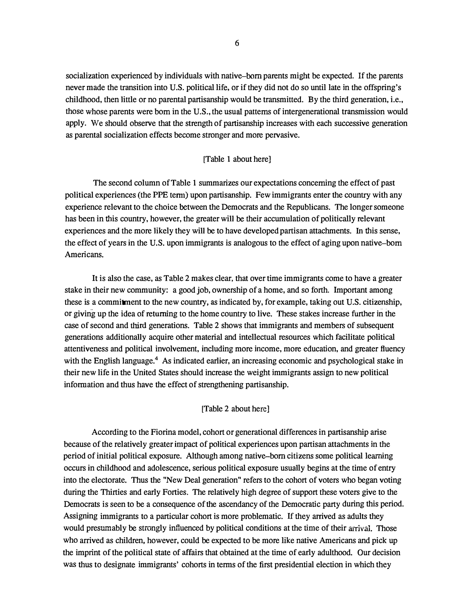socialization experienced by individuals with native-born parents might be expected. If the parents never made the transition into U.S. political life, or if they did not do so until late in the offspring's childhood, then little or no parental partisanship would be transmitted. By the third generation, i.e., those whose parents were born in the U.S., the usual patterns of intergenerational transmission would apply. We should observe that the strength of partisanship increases with each successive generation as parental socialization effects become stronger and more pervasive.

#### [Table 1 about here]

The second column of Table 1 summarizes our expectations concerning the effect of past political experiences (the PPE term) upon partisanship. Few immigrants enter the country with any experience relevant to the choice between the Democrats and the Republicans. The longer someone has been in this country, however, the greater will be their accumulation of politically relevant experiences and the more likely they will be to have developed partisan attachments. In this sense, the effect of years in the U.S. upon immigrants is analogous to the effect of aging upon native-born Americans.

It is also the case, as Table 2 makes clear, that over time immigrants come to have a greater stake in their new community: a good job, ownership of a home, and so forth. Important among these is a commitment to the new country, as indicated by, for example, taking out U.S. citizenship, or giving up the idea of returning to the home country to live. These stakes increase further in the case of second and third generations. Table 2 shows that immigrants and members of subsequent generations additionally acquire other material and intellectual resources which facilitate political attentiveness and political involvement, including more income, more education, and greater fluency with the English language.<sup>4</sup> As indicated earlier, an increasing economic and psychological stake in their new life in the United States should increase the weight immigrants assign to new political information and thus have the effect of strengthening partisanship.

#### [Table 2 about here]

According to the Fiorina model, cohort or generational differences in partisanship arise because of the relatively greater impact of political experiences upon partisan attachments in the period of initial political exposure. Although among native-born citizens some political learning occurs in childhood and adolescence, serious political exposure usually begins at the time of entry into the electorate. Thus the "New Deal generation" refers to the cohort of voters who began voting during the Thirties and early Forties. The relatively high degree of support these voters give to the Democrats is seen to be a consequence of the ascendancy of the Democratic party during this period. Assigning immigrants to a particular cohort is more problematic. If they arrived as adults they would presumably be strongly influenced by political conditions at the time of their arrival. Those who arrived as children, however, could be expected to be more like native Americans and pick up the imprint of the political state of affairs that obtained at the time of early adulthood. Our decision was thus to designate immigrants' cohorts in terms of the first presidential election in which they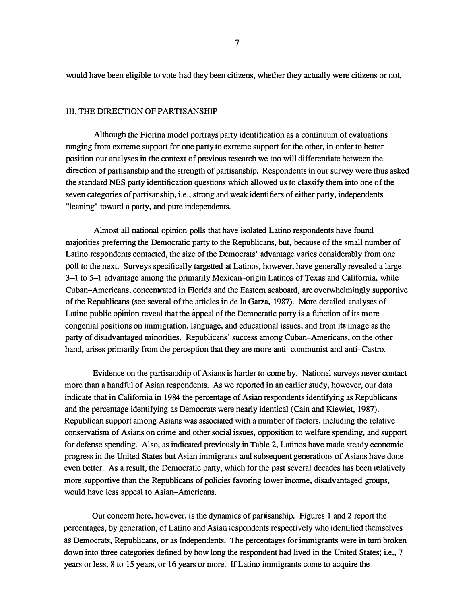would have been eligible to vote had they been citizens, whether they actually were citizens or not.

#### III. THE DIRECTION OF PARTISANSHIP

Although the Fiorina model portrays party identification as a continuum of evaluations ranging from extreme support for one party to extreme support for the other, in order to better position our analyses in the context of previous research we too will differentiate between the direction of partisanship and the strength of partisanship. Respondents in our survey were thus asked the standard NES party identification questions which allowed us to classify them into one of the seven categories of partisanship, i.e., strong and weak identifiers of either party, independents "leaning" toward a party, and pure independents.

Almost all national opinion polls that have isolated Latino respondents have found majorities preferring the Democratic party to the Republicans, but, because of the small number of Latino respondents contacted, the size of the Democrats' advantage varies considerably from one poll to the next. Surveys specifically targetted at Latinos, however, have generally revealed a large 3-1 to 5-1 advantage among the primarily Mexican-origin Latinos of Texas and California, while Cuban-Americans, concentrated in Florida and the Eastern seaboard, are overwhelmingly supportive of the Republicans (see several of the articles in de la Garza, 1987). More detailed analyses of Latino public opinion reveal that the appeal of the Democratic party is a function of its more congenial positions on immigration, language, and educational issues, and from its image as the party of disadvantaged minorities. Republicans' success among Cuban-Americans, on the other hand, arises primarily from the perception that they are more anti-communist and anti-Castro.

Evidence on the partisanship of Asians is harder to come by. National surveys never contact more than a handful of Asian respondents. As we reported in an earlier study, however, our data indicate that in California in 1984 the percentage of Asian respondents identifying as Republicans and the percentage identifying as Democrats were nearly identical (Cain and Kiewiet, 1987). Republican support among Asians was associated with a number of factors, including the relative conservatism of Asians on crime and other social issues, opposition to welfare spending, and support for defense spending. Also, as indicated previously in Table 2, Latinos have made steady economic progress in the United States but Asian immigrants and subsequent generations of Asians have done even better. As a result, the Democratic party, which for the past several decades has been relatively more supportive than the Republicans of policies favoring lower income, disadvantaged groups, would have less appeal to Asian-Americans.

Our concern here, however, is the dynamics of partisanship. Figures 1 and 2 report the percentages, by generation, of Latino and Asian respondents respectively who identified themselves as Democrats, Republicans, or as Independents. The percentages for immigrants were in turn broken down into three categories defined by how long the respondent had lived in the United States; i.e., 7 years or less, 8 to 15 years, or 16 years or more. If Latino immigrants come to acquire the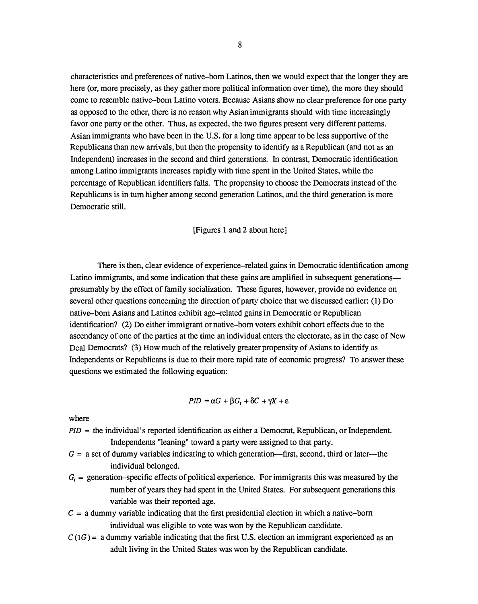characteristics and preferences of native-born Latinos, then we would expect that the longer they are here (or, more precisely, as they gather more political information over time), the more they should come to resemble native-born Latino voters. Because Asians show no clear preference for one party as opposed to the other, there is no reason why Asian immigrants should with time increasingly favor one party or the other. Thus, as expected, the two figures present very different patterns. Asian immigrants who have been in the U.S. for a long time appear to be less supportive of the Republicans than new arrivals, but then the propensity to identify as a Republican (and not as an Independent) increases in the second and third generations. In contrast, Democratic identification among Latino immigrants increases rapidly with time spent in the United States, while the percentage of Republican identifiers falls. The propensity to choose the Democrats instead of the Republicans is in tum higher among second generation Latinos, and the third generation is more Democratic still.

#### [Figures 1 and 2 about here]

There is then, clear evidence of experience-related gains in Democratic identification among Latino immigrants, and some indication that these gains are amplified in subsequent generations presumably by the effect of family socialization. These figures, however, provide no evidence on several other questions concerning the direction of party choice that we discussed earlier: (1) Do native-born Asians and Latinos exhibit age-related gains in Democratic or Republican identification? (2) Do either immigrant or native-born voters exhibit cohort effects due to the ascendancy of one of the parties at the time an individual enters the electorate, as in the case of New Deal Democrats? (3) How much of the relatively greater propensity of Asians to identify as Independents or Republicans is due to their more rapid rate of economic progress? To answer these questions we estimated the following equation:

$$
PID = \alpha G + \beta G_t + \delta C + \gamma X + \epsilon
$$

where

- $PID =$  the individual's reported identification as either a Democrat, Republican, or Independent. Independents "leaning" toward a party were assigned to that party.
- $G = a$  set of dummy variables indicating to which generation—first, second, third or later—the individual belonged.
- $G_t$  = generation–specific effects of political experience. For immigrants this was measured by the number of years they had spent in the United States. For subsequent generations this variable was their reported age.
- $C = a$  dummy variable indicating that the first presidential election in which a native-born individual was eligible to vote was won by the Republican candidate.
- $C(1G)$  = a dummy variable indicating that the first U.S. election an immigrant experienced as an adult living in the United States was won by the Republican candidate.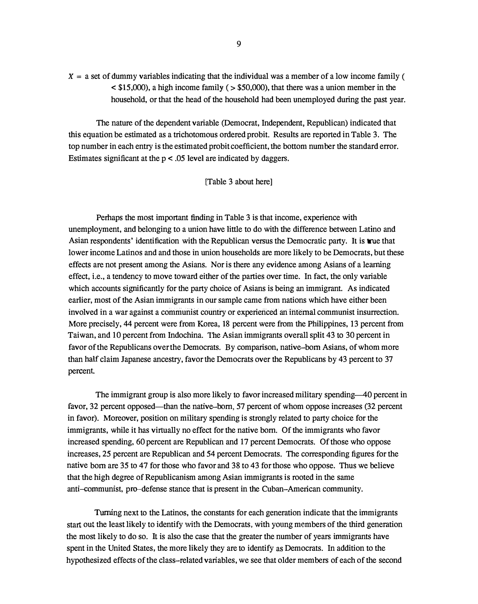$X = a$  set of dummy variables indicating that the individual was a member of a low income family (  $\leq$  \$15,000), a high income family ( $\geq$  \$50,000), that there was a union member in the household, or that the head of the household had been unemployed during the past year.

The nature of the dependent variable (Democrat, Independent, Republican) indicated that this equation be estimated as a trichotomous ordered probit. Results are reported in Table 3. The top number in each entry is the estimated probit coefficient, the bottom number the standard error. Estimates significant at the p < .05 level are indicated by daggers.

#### [Table 3 about here]

Perhaps the most important finding in Table 3 is that income, experience with unemployment, and belonging to a union have little to do with the difference between Latino and Asian respondents' identification with the Republican versus the Democratic party. It is true that lower income Latinos and and those in union households are more likely to be Democrats, but these effects are not present among the Asians. Nor is there any evidence among Asians of a learning effect, i.e., a tendency to move toward either of the parties over time. In fact, the only variable which accounts significantly for the party choice of Asians is being an immigrant. As indicated earlier, most of the Asian immigrants in our sample came from nations which have either been involved in a war against a communist country or experienced an internal communist insurrection. More precisely, 44 percent were from Korea, 18 percent were from the Philippines, 13 percent from Taiwan, and 10 percent from Indochina. The Asian immigrants overall split 43 to 30 percent in favor of the Republicans over the Democrats. By comparison, native-born Asians, of whom more than half claim Japanese ancestry, favor the Democrats over the Republicans by 43 percent to 37 percent

The immigrant group is also more likely to favor increased military spending-40 percent in favor, 32 percent opposed—than the native-born, 57 percent of whom oppose increases (32 percent in favor). Moreover, position on military spending is strongly related to party choice for the immigrants, while it has virtually no effect for the native born. Of the immigrants who favor increased spending, 60 percent are Republican and 17 percent Democrats. Of those who oppose increases, 25 percent are Republican and 54 percent Democrats. The corresponding figures for the native born are 35 to 47 for those who favor and 38 to 43 for those who oppose. Thus we believe that the high degree of Republicanism among Asian immigrants is rooted in the same anti-communist, pro-defense stance that is present in the Cuban-American community.

Turning next to the Latinos, the constants for each generation indicate that the immigrants start out the least likely to identify with the Democrats, with young members of the third generation the most likely to do so. It is also the case that the greater the number of years immigrants have spent in the United States, the more likely they are to identify as Democrats. In addition to the hypothesized effects of the class-related variables, we see that older members of each of the second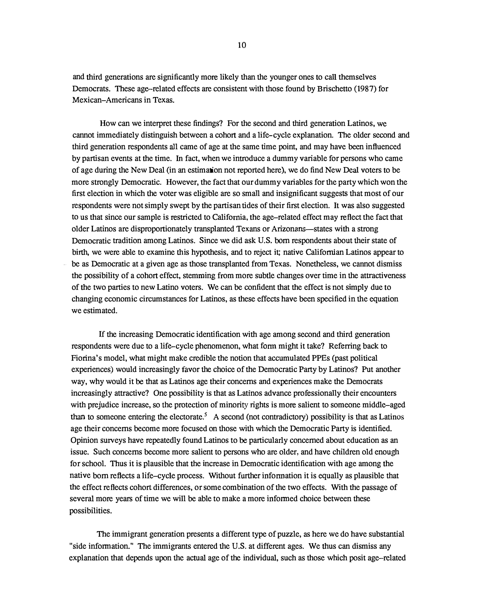and third generations are significantly more likely than the younger ones to call themselves Democrats. These age-related effects are consistent with those found by Brischetto (1987) for Mexican-Americans in Texas.

How can we interpret these findings? For the second and third generation Latinos, we cannot immediately distinguish between a cohort and a life-cycle explanation. The older second and third generation respondents all came of age at the same time point, and may have been influenced by partisan events at the time. In fact, when we introduce a dummy variable for persons who came of age during the New Deal (in an estimation not reported here), we do find New Deal voters to be more strongly Democratic. However, the fact that our dummy variables for the party which won the first election in which the voter was eligible are so small and insignificant suggests that most of our respondents were not simply swept by the partisan tides of their first election. It was also suggested to us that since our sample is restricted to California, the age-related effect may reflect the fact that older Latinos are disproportionately transplanted Texans or Arizonans--states with a strong Democratic tradition among Latinos. Since we did ask U.S. born respondents about their state of birth, we were able to examine this hypothesis, and to reject it; native Californian Latinos appear to be as Democratic at a given age as those transplanted from Texas. Nonetheless, we cannot dismiss the possibility of a cohort effect, stemming from more subtle changes over time in the attractiveness of the two parties to new Latino voters. We can be confident that the effect is not simply due to changing economic circumstances for Latinos, as these effects have been specified in the equation we estimated.

If the increasing Democratic identification with age among second and third generation respondents were due to a life-cycle phenomenon, what fonn might it take? Referring back to Fionna's model, what might make credible the notion that accumulated PPEs (past political experiences) would increasingly favor the choice of the Democratic Party by Latinos? Put another way, why would it be that as Latinos age their concerns and experiences make the Democrats increasingly attractive? One possibility is that as Latinos advance professionally their encounters with prejudice increase, so the protection of minority rights is more salient to someone middle-aged than to someone entering the electorate.<sup>5</sup> A second (not contradictory) possibility is that as Latinos age their concerns become more focused on those with which the Democratic Party is identified. Opinion surveys have repeatedly found Latinos to be particularly concerned about education as an issue. Such concerns become more salient to persons who are older, and have children old enough for school. Thus it is plausible that the increase in Democratic identification with age among the native born reflects a life-cycle process. Without further infonnation it is equally as plausible that the effect reflects cohort differences, or some combination of the two effects. With the passage of several more years of time we will be able to make a more infonned choice between these possibilities.

The immigrant generation presents a different type of puzzle, as here we do have substantial "side information." The immigrants entered the U.S. at different ages. We thus can dismiss any explanation that depends upon the actual age of the individual, such as those which posit age-related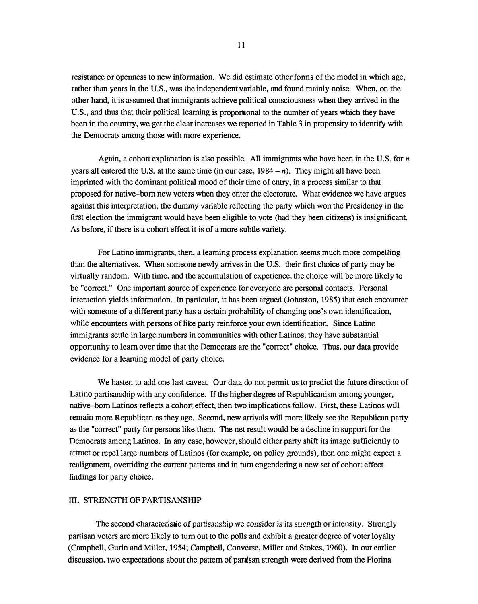resistance or openness to new information. We did estimate other forms of the model in which age, rather than years in the U.S., was the independent variable, and found mainly noise. When, on the other hand, it is assumed that immigrants achieve political consciousness when they arrived in the U.S., and thus that their political learning is proportional to the number of years which they have been in the country, we get the clear increases we reported in Table 3 in propensity to identify with the Democrats among those with more experience.

Again, a cohort explanation is also possible. All immigrants who have been in the U.S. for  $n$ years all entered the U.S. at the same time (in our case,  $1984 - n$ ). They might all have been imprinted with the dominant political mood of their time of entry, in a process similar to that proposed for native-born new voters when they enter the electorate. What evidence we have argues against this interpretation; the dummy variable reflecting the party which won the Presidency in the first election the immigrant would have been eligible to vote (had they been citizens) is insignificant. As before, if there is a cohort effect it is of a more subtle variety.

For Latino immigrants, then, a learning process explanation seems much more compelling than the alternatives. When someone newly arrives in the U.S. their first choice of party may be virtually random. With time, and the accumulation of experience, the choice will be more likely to be "correct." One important source of experience for everyone are personal contacts. Personal interaction yields information. In particular, it has been argued (Johnston, 1985) that each encounter with someone of a different party has a certain probability of changing one's own identification, while encounters with persons of like party reinforce your own identification. Since Latino immigrants settle in large numbers in communities with other Latinos, they have substantial opportunity to learn over time that the Democrats are the "correct" choice. Thus, our data provide evidence for a learning model of party choice.

We hasten to add one last caveat. Our data do not permit us to predict the future direction of Latino partisanship with any confidence. If the higher degree of Republicanism among younger, native-born Latinos reflects a cohort effect, then two implications follow. First, these Latinos will remain more Republican as they age. Second, new arrivals will more likely see the Republican party as the "correct" party for persons like them. The net result would be a decline in support for the Democrats among Latinos. In any case, however, should either party shift its image sufficiently to attract or repel large numbers of Latinos (for example, on policy grounds), then one might expect a realigmnent, overriding the current patterns and in tum engendering a new set of cohort effect findings for party choice.

#### III. STRENGTH OF PARTISANSHIP

The second characteristic of partisanship we consider is its strength or intensity. Strongly partisan voters are more likely to turn out to the polls and exhibit a greater degree of voter loyalty (Campbell, Gurin and Miller, 1954; Campbell, Converse, Miller and Stokes, 1960). In our earlier discussion, two expectations about the pattern of partisan strength were derived from the Fiorina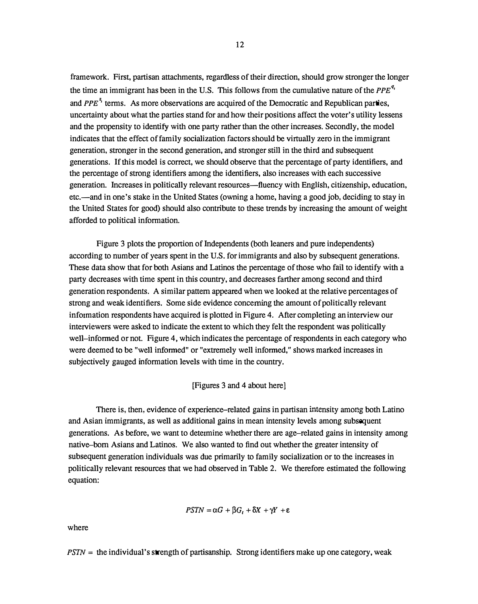framework. First, partisan attachments, regardless of their direction, should grow stronger the longer the time an immigrant has been in the U.S. This follows from the cumulative nature of the  $PPE^{q_i}$ and PPE<sup> $z_i$ </sup> terms. As more observations are acquired of the Democratic and Republican parties, uncertainty about what the parties stand for and how their positions affect the voter's utility lessens and the propensity to identify with one party rather than the other increases. Secondly, the model indicates that the effect of family socialization factors should be virtually zero in the immigrant generation, stronger in the second generation, and stronger still in the third and subsequent generations. If this model is correct, we should observe that the percentage of party identifiers, and the percentage of strong identifiers among the identifiers, also increases with each successive generation. Increases in politically relevant resources-fluency with English, citizenship, education, etc.—and in one's stake in the United States (owning a home, having a good job, deciding to stay in the United States for good) should also contribute to these trends by increasing the amount of weight afforded to political information.

Figure 3 plots the proportion of Independents (both leaners and pure independents) according to number of years spent in the U.S. for immigrants and also by subsequent generations. These data show that for both Asians and Latinos the percentage of those who fail to identify with a party decreases with time spent in this country, and decreases farther among second and third generation respondents. A similar pattern appeared when we looked at the relative percentages of strong and weak identifiers. Some side evidence concerning the amount of politically relevant information respondents have acquired is plotted in Figure 4. After completing an interview our interviewers were asked to indicate the extent to which they felt the respondent was politically well-informed or not. Figure 4, which indicates the percentage of respondents in each category who were deemed to be "well informed" or "extremely well informed," shows marked increases in subjectively gauged information levels with time in the country.

#### [Figures 3 and 4 about here J

There is, then, evidence of experience-related gains in partisan intensity among both Latino and Asian immigrants, as well as additional gains in mean intensity levels among subsequent generations. As before, we want to determine whether there are age-related gains in intensity among native-born Asians and Latinos. We also wanted to find out whether the greater intensity of subsequent generation individuals was due primarily to family socialization or to the increases in politically relevant resources that we had observed in Table 2. We therefore estimated the following equation:

$$
PSTN = \alpha G + \beta G_t + \delta X + \gamma Y + \epsilon
$$

where

 $PSTN =$  the individual's strength of partisanship. Strong identifiers make up one category, weak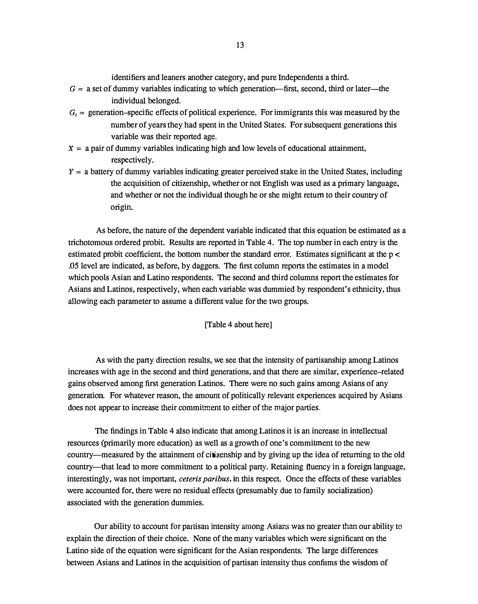identifiers and leaners another category, and pure Independents a third.

- $G = a$  set of dummy variables indicating to which generation—first, second, third or later—the individual belonged.
- $G<sub>t</sub>$  = generation-specific effects of political experience. For immigrants this was measured by the number of years they had spent in the United States. For subsequent generations this variable was their reported age.
- $X = a$  pair of dummy variables indicating high and low levels of educational attainment, respectively.
- $Y = a$  battery of dummy variables indicating greater perceived stake in the United States, including the acquisition of citizenship, whether or not English was used as a primary language, and whether or not the individual though he or she might return to their country of origin.

As before, the nature of the dependent variable indicated that this equation be estimated as a trichotomous ordered probit. Results are reported in Table 4. The top number in each entry is the estimated probit coefficient, the bottom number the standard error. Estimates significant at the p < .05 level are indicated, as before, by daggers. The first column reports the estimates in a model which pools Asian and Latino respondents. The second and third columns report the estimates for Asians and Latinos, respectively, when each variable was dummied by respondent's ethnicity, thus allowing each parameter to assume a different value for the two groups.

[Table 4 about here]

As with the party direction results, we see that the intensity of partisanship among Latinos increases with age in the second and third generations, and that there are similar, experience-related gains observed among first generation Latinos. There were no such gains among Asians of any generation. For whatever reason, the amount of politically relevant experiences acquired by Asians does not appear to increase their commitment to either of the major parties.

The findings in Table 4 also indicate that among Latinos it is an increase in intellectual resources (primarily more education) as well as a growth of one's commitment to the new country-measured by the attainment of citizenship and by giving up the idea of returning to the old country-that lead to more commitment to a political party. Retaining fluency in a foreign language, interestingly, was not important, *ceteris paribus*, in this respect. Once the effects of these variables were accounted for, there were no residual effects (presumably due to family socialization) associated with the generation dummies.

Our ability to account for partisan intensity among Asians was no greater than our ability to explain the direction of their choice. None of the many variables which were significant on the Latino side of the equation were significant for the Asian respondents. The large differences between Asians and Latinos in the acquisition of partisan intensity thus confirms the wisdom of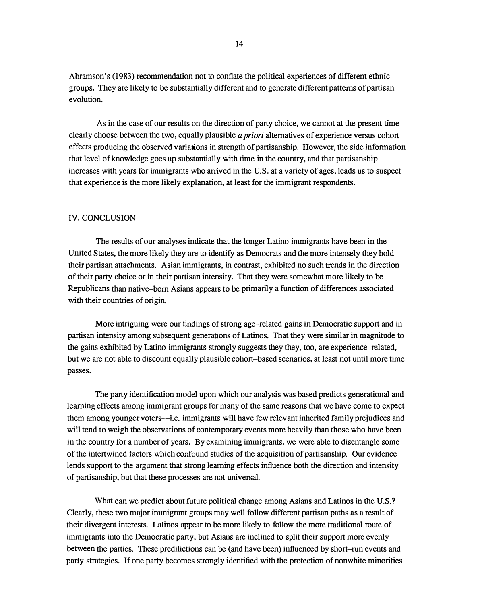Abramson's (1983) recommendation not to conflate the political experiences of different ethnic groups. They are likely to be substantially different and to generate different patterns of partisan evolution.

As in the case of our results on the direction of party choice, we cannot at the present time clearly choose between the two, equally plausible a priori alternatives of experience versus cohort effects producing the observed variations in strength of partisanship. However, the side information that level of knowledge goes up substantially with time in the country, and that partisanship increases with years for immigrants who arrived in the U.S. at a variety of ages, leads us to suspect that experience is the more likely explanation, at least for the immigrant respondents.

#### IV. CONCLUSION

The results of our analyses indicate that the longer Latino immigrants have been in the United States, the more likely they are to identify as Democrats and the more intensely they hold their partisan attachments. Asian immigrants, in contrast, exhibited no such trends in the direction of tbeir party choice or in their partisan intensity. That they were somewhat more likely to be Republicans tban native-born Asians appears to be primarily a function of differences associated with their countries of origin.

More intriguing were our findings of strong age-related gains in Democratic support and in partisan intensity among subsequent generations of Latinos. That tbey were similar in magnitude to the gains exhibited by Latino immigrants strongly suggests tbey tbey, too, are experience-related, but we are not able to discount equally plausible cohort-based scenarios, at least not until more time passes.

The party identification model upon which our analysis was based predicts generational and learning effects among immigrant groups for many of the same reasons that we have come to expect tbem among younger voters---i.e. immigrants will have few relevant inherited family prejudices and will tend to weigh the observations of contemporary events more heavily than those who have been in the country for a number of years. By examining immigrants, we were able to disentangle some of the intertwined factors which confound studies of the acquisition of partisanship. Our evidence lends support to the argument that strong learning effects influence both the direction and intensity of partisanship, but that these processes are not universal.

What can we predict about future political change among Asians and Latinos in the U.S.? Clearly, tbese two major inunigrant groups may well follow different partisan paths as a result of their divergent interests. Latinos appear to be more likely to follow the more traditional route of immigrants into tbe Democratic party, but Asians are inclined to split their support more evenly between the parties. These predilictions can be (and have been) influenced by short-run events and party strategies. If one party becomes strongly identified with the protection of nonwhite minorities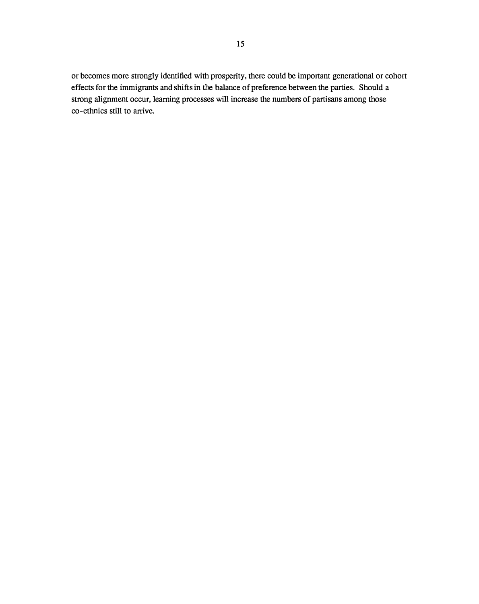or becomes more strongly identified with prosperity, there could be important generational or cohort effects for the immigrants and shifts in the balance of preference between the parties. Should a strong alignment occur, learning processes will increase the numbers of partisans among those co-ethnics still to arrive.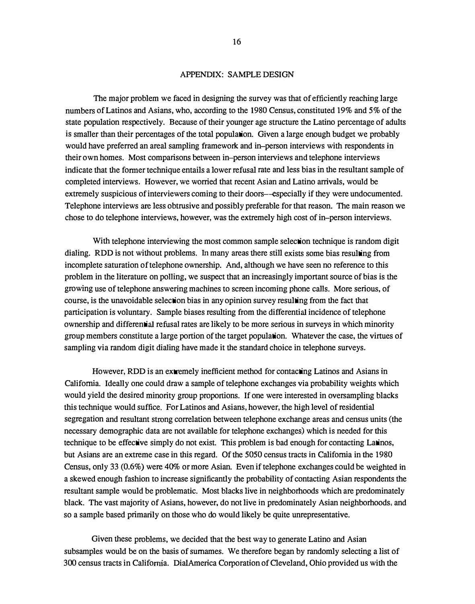#### APPENDIX: SAMPLE DESIGN

The major problem we faced in designing the survey was that of efficiently reaching large numbers of Latinos and Asians, who, according to the 1980 Census, constituted 19% and 5% of the state population respectively. Because of their younger age structure the Latino percentage of adults is smaller than their percentages of the total population. Given a large enough budget we probably would have preferred an areal sampling framework and in-person interviews with respondents in their own homes. Most comparisons between in-person interviews and telephone interviews indicate that the former technique entails a lower refusal rate and less bias in the resultant sample of completed interviews. However, we worried that recent Asian and Latino arrivals, would be extremely suspicious of interviewers coming to their doors—especially if they were undocumented. Telephone interviews are less obtrusive and possibly preferable for that reason. The main reason we chose to do telephone interviews, however, was the extremely high cost of in-person interviews.

With telephone interviewing the most common sample selection technique is random digit dialing. RDD is not without problems. In many areas there still exists some bias resulting from incomplete saturation of telephone ownership. And, although we have seen no reference to this problem in the literature on polling, we suspect that an increasingly important source of bias is the growing use of telephone answering machines to screen incoming phone calls. More serious, of course, is the unavoidable selection bias in any opinion survey resulting from the fact that participation is voluntary. Sample biases resulting from the differential incidence of telephone ownership and differential refusal rates are likely to be more serious in surveys in which minority group members constitute a large portion of the target population. Whatever the case, the virtues of sampling via random digit dialing have made it the standard choice in telephone surveys.

However, RDD is an extremely inefficient method for contacting Latinos and Asians in California. Ideally one could draw a sample of telephone exchanges via probability weights which would yield the desired minority group proportions. If one were interested in oversampling blacks this technique would suffice. For Latinos and Asians, however, the high level of residential segregation and resultant strong correlation between telephone exchange areas and census units (the necessary demographic data are not available for telephone exchanges) which is needed for this technique to be effective simply do not exist. This problem is bad enough for contacting Latinos, but Asians are an extreme case in this regard. Of the 5050 census tracts in California in the 1980 Census, only 33 (0.6%) were 40% or more Asian. Even if telephone exchanges could be weighted in a skewed enough fashion to increase significantly the probability of contacting Asian respondents the resultant sample would be problematic. Most blacks live in neighborhoods which are predominately black. The vast majority of Asians, however, do not live in predominately Asian neighborhoods, and so a sample based primarily on those who do would likely be quite unrepresentative.

Given these problems, we decided that the best way to generate Latino and Asian subsamples would be on the basis of surnames. We therefore began by randomly selecting a list of 300 census tracts in California. Dia!America Corporation of Cleveland, Ohio provided us with the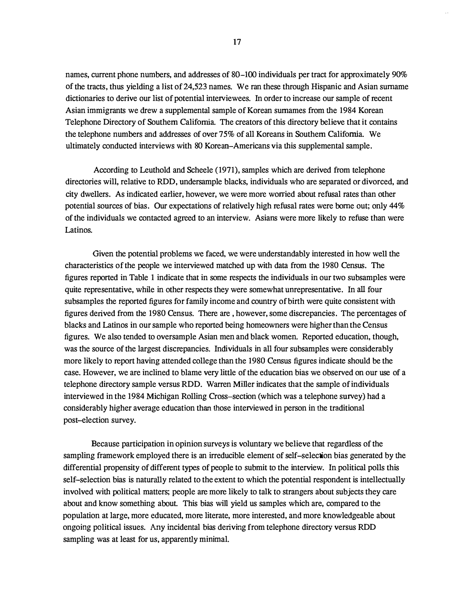names, current phone numbers, and addresses of 80-100 individuals per tract for approximately 90% of the tracts, thus yielding a list of24,523 names. We ran these through Hispanic and Asian surname dictionaries to derive our list of potential interviewees. In order to increase our sample of recent Asian immigrants we drew a supplemental sample of Korean surnames from the 1984 Korean Telephone Directory of Southern California. The creators of this directory believe that it contains the telephone numbers and addresses of over 75% of all Koreans in Southern California. We ultimately conducted interviews with 80 Korean-Americans via this supplemental sample.

According to Leuthold and Scheele ( 1971), samples which are derived from telephone directories will, relative to RDD, undersample blacks, individuals who are separated or divorced, and city dwellers. As indicated earlier, however, we were more worried about refusal rates than other potential sources of bias. Our expectations of relatively high refusal rates were borne out; only 44% of the individuals we contacted agreed to an interview. Asians were more likely to refuse than were Latinos.

Given the potential problems we faced, we were understandably interested in how well the characteristics of the people we interviewed matched up with data from the 1980 Census. The figures reported in Table 1 indicate that in some respects the individuals in our two subsamples were quite representative, while in other respects they were somewhat unrepresentative. In all four subsamples the reported figures for family income and country of birth were quite consistent with figures derived from the 1980 Census. There are , however, some discrepancies. The percentages of blacks and Latinos in our sample who reported being homeowners were higher than the Census figures. We also tended to oversample Asian men and black women. Reported education, though, was the source of the largest discrepancies. Individuals in all four subsamples were considerably more likely to report having attended college than the 1980 Census figures indicate should be the case. However, we are inclined to blame very little of the education bias we observed on our use of a telephone directory sample versus RDD. Warren Miller indicates that the sample of individuals interviewed in the 1984 Michigan Rolling Cross-section (which was a telephone survey) had a considerably higher average education than those interviewed in person in the traditional post-election survey.

Because participation in opinion surveys is voluntary we believe that regardless of the sampling framework employed there is an irreducible element of self-selection bias generated by the differential propensity of different types of people to submit to the interview. In political polls this self-selection bias is naturally related to the extent to which the potential respondent is intellectually involved with political matters; people are more likely to talk to strangers about subjects they care about and know something about. This bias will yield us samples which are, compared to the population at large, more educated, more literate, more interested, and more knowledgeable about ongoing political issues. Any incidental bias deriving from telephone directory versus RDD sampling was at least for us, apparently minimal.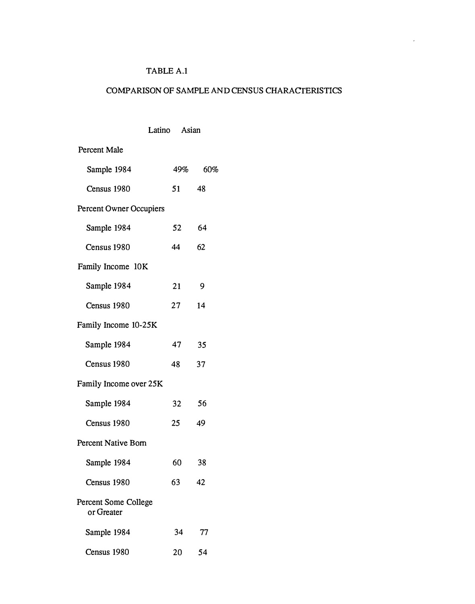## TABLE A.1

# COMPARISON OF SAMPLE AND CENSUS CHARACTERISTICS

|                                    | Latino Asian |          |    |
|------------------------------------|--------------|----------|----|
| <b>Percent Male</b>                |              |          |    |
| Sample 1984                        |              | 49% 60%  |    |
| Census 1980                        |              | 51 48    |    |
| <b>Percent Owner Occupiers</b>     |              |          |    |
| Sample 1984                        |              | 52<br>64 |    |
| Census 1980                        |              | 44<br>62 |    |
| Family Income 10K                  |              |          |    |
| Sample 1984                        | 21           | - 9      |    |
| Census 1980                        | $27 \,$      | 14       |    |
| Family Income 10-25K               |              |          |    |
| Sample 1984                        |              | 35<br>47 |    |
| Census 1980                        | 48           | 37       |    |
| Family Income over 25K             |              |          |    |
| Sample 1984                        |              | 32<br>56 |    |
| Census 1980                        |              | 25<br>49 |    |
| Percent Native Born                |              |          |    |
| Sample 1984                        | 60           | 38       |    |
| Census 1980                        | 63           | 42       |    |
| Percent Some College<br>or Greater |              |          |    |
| Sample 1984                        |              | 34       | 77 |
| Census 1980                        |              | 54<br>20 |    |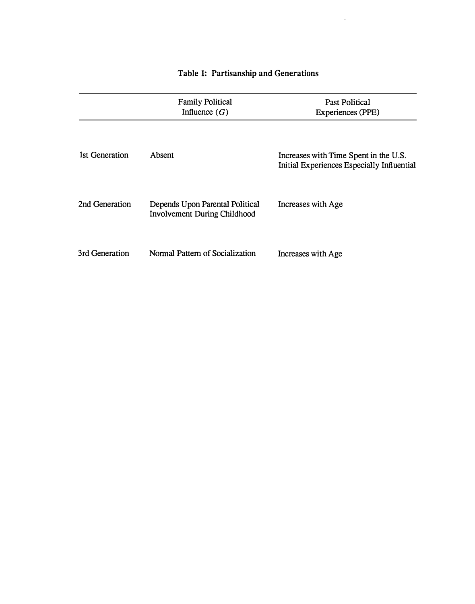# 1st Generation 2nd Generation 3rd Generation Absent Family Political Influence  $(G)$ Depends Upon Parental Political Involvement During Childhood Normal Pattern of Socialization Past Political Experiences (PPE) Increases with Time Spent in the U.S. Initial Experiences Especially Influential Increases with Age Increases with Age

# Table 1: Partisanship and Generations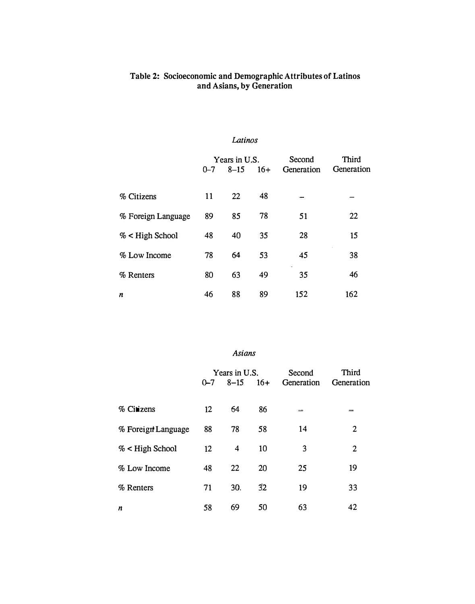#### Table 2: Socioeconomic and Demographic Attributes of Latinos and Asians, by Generation

### Latinos

|                    | Years in U.S. |          | Second | Third      |            |
|--------------------|---------------|----------|--------|------------|------------|
|                    | $0 - 7$       | $8 - 15$ | $16+$  | Generation | Generation |
|                    |               |          |        |            |            |
| % Citizens         | 11            | 22       | 48     |            |            |
|                    |               |          |        |            |            |
| % Foreign Language | 89            | 85       | 78     | 51         | 22         |
| $%$ < High School  | 48            | 40       | 35     | 28         | 15         |
|                    |               |          |        |            |            |
| % Low Income       | 78            | 64       | 53     | 45         | 38         |
| % Renters          | 80            | 63       | 49     | 35         | 46         |
|                    |               |          |        |            |            |
| n                  | 46            | 88       | 89     | 152        | 162        |
|                    |               |          |        |            |            |

## Asians

|                    | Years in U.S.     |          | Second | Third      |            |
|--------------------|-------------------|----------|--------|------------|------------|
|                    | $0 - 7$           | $8 - 15$ | $16+$  | Generation | Generation |
|                    |                   |          |        |            |            |
| $%$ Citizens       | 12                | 64       | 86     | $\equiv$   | $=$        |
| % Foreign Language | 88                | 78       | 58     | 14         | 2          |
| $%$ < High School  | $12 \overline{ }$ | 4        | 10     | 3          | 2          |
| % Low Income       | 48                | 22       | 20     | 25         | 19         |
| % Renters          | 71                | 30.      | 32     | 19         | 33         |
| n                  | 58                | 69       | 50     | 63         | 42         |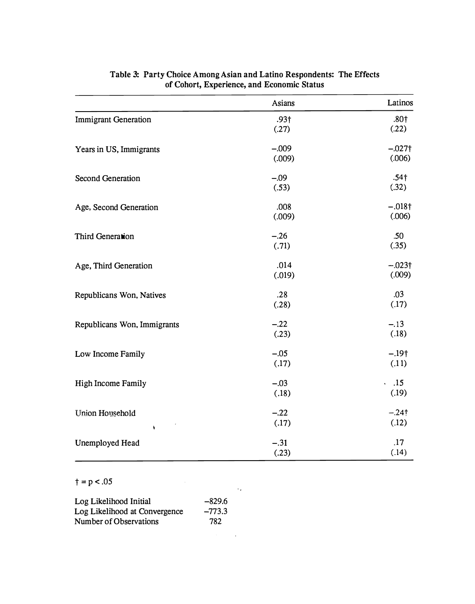|                             | Asians                    | Latinos                      |
|-----------------------------|---------------------------|------------------------------|
| <b>Immigrant Generation</b> | .93 <sub>†</sub><br>(.27) | .80 <sub>†</sub><br>(.22)    |
| Years in US, Immigrants     | $-.009$<br>(.009)         | $-.027\dagger$<br>(.006)     |
| <b>Second Generation</b>    | $-.09$<br>(.53)           | .54 <sub>†</sub><br>(.32)    |
| Age, Second Generation      | .008<br>(.009)            | $-.018\dagger$<br>(.006)     |
| Third Generation            | $-.26$<br>(.71)           | .50<br>(.35)                 |
| Age, Third Generation       | .014<br>(.019)            | $-.023\dagger$<br>(.009)     |
| Republicans Won, Natives    | .28<br>(.28)              | .03<br>(.17)                 |
| Republicans Won, Immigrants | $-.22$<br>(.23)           | $-.13$<br>(.18)              |
| Low Income Family           | $-.05$<br>(.17)           | $-.19†$<br>(.11)             |
| <b>High Income Family</b>   | $-.03$<br>(.18)           | .15<br>$\mathbf{r}$<br>(.19) |
| Union Household<br>ł        | $-.22$<br>(.17)           | $-.24†$<br>(.12)             |
| Unemployed Head             | $-.31$<br>(.23)           | .17<br>(.14)                 |

 $\ddotsc$ 

## Table 3: Party Choice Among Asian and Latino Respondents: The Effects of Cohort, Experience, and Economic Status

 $\dagger$  = p < .05

| Log Likelihood Initial        | $-829.6$ |
|-------------------------------|----------|
| Log Likelihood at Convergence | $-773.3$ |
| Number of Observations        | 782      |
|                               |          |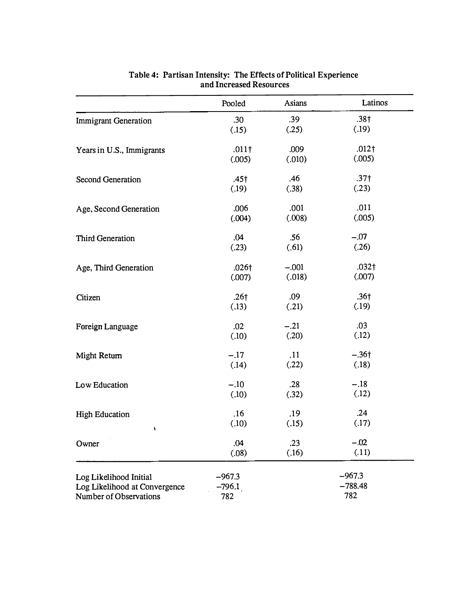|                               | Pooled           | Asians  | Latinos           |
|-------------------------------|------------------|---------|-------------------|
| <b>Immigrant Generation</b>   | .30              | .39     | .38 <sub>†</sub>  |
|                               | (.15)            | (.25)   | (.19)             |
| Years in U.S., Immigrants     | $.011\dagger$    | .009    | $.012\dagger$     |
|                               | (.005)           | (.010)  | (.005)            |
| Second Generation             | $.45\dagger$     | .46     | .37 <sub>†</sub>  |
|                               | (.19)            | (.38)   | (.23)             |
| Age, Second Generation        | .006             | .001    | .011              |
|                               | (.004)           | (.008)  | (.005)            |
| <b>Third Generation</b>       | .04              | .56     | $-.07$            |
|                               | (.23)            | (.61)   | (.26)             |
| Age, Third Generation         | $.026\dagger$    | $-.001$ | .032 <sub>†</sub> |
|                               | (.007)           | (.018)  | (.007)            |
| Citizen                       | .26 <sub>†</sub> | .09     | .36 <sub>†</sub>  |
|                               | (.13)            | (.21)   | (.19)             |
| Foreign Language              | .02              | $-.21$  | .03               |
|                               | (.10)            | (.20)   | (.12)             |
| Might Return                  | $-.17$           | .11     | $-.36\dagger$     |
|                               | (.14)            | (.22)   | (.18)             |
| Low Education                 | $-.10$           | .28     | $-.18$            |
|                               | (.10)            | (.32)   | (.12)             |
| <b>High Education</b>         | .16              | .19     | .24               |
| ¥                             | (.10)            | (.15)   | (.17)             |
| Owner                         | .04              | .23     | $-.02$            |
|                               | (.08)            | (.16)   | (.11)             |
| Log Likelihood Initial        | $-967.3$         |         | $-967.3$          |
| Log Likelihood at Convergence | $-796.1$         |         | $-788.48$         |
| Number of Observations        | 782              |         | 782               |

Table 4: Partisan Intensity: The Effects of Political Experience and Increased Resources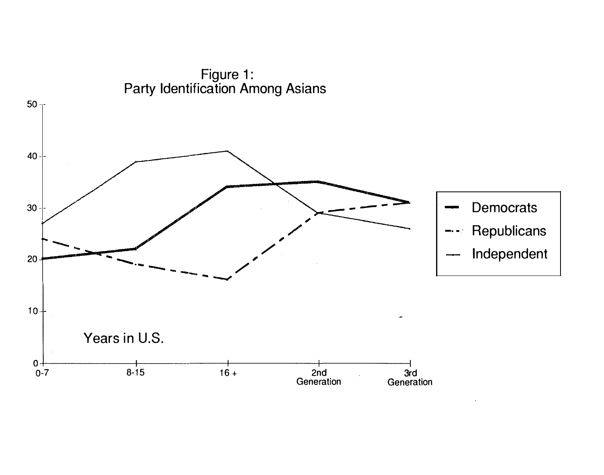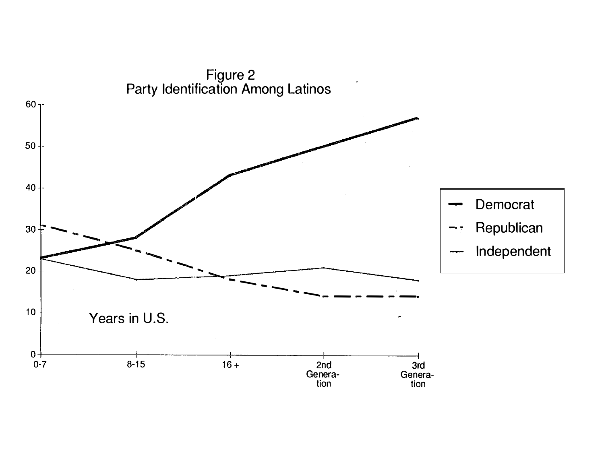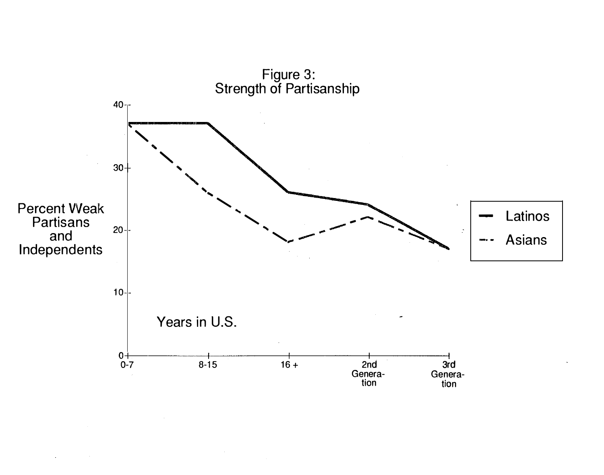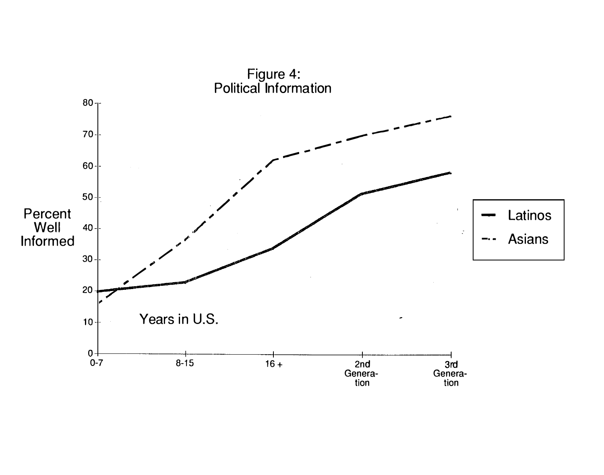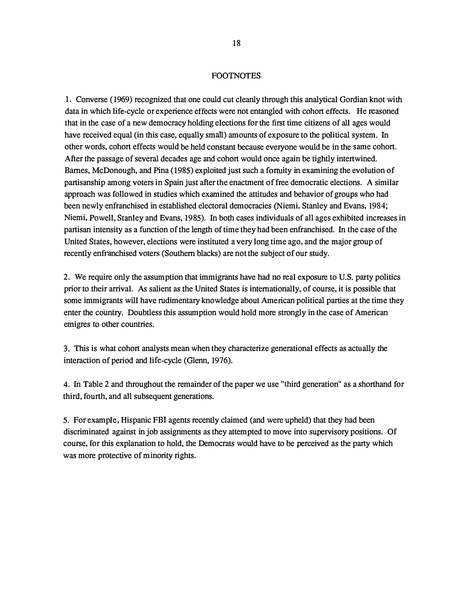#### **FOOTNOTES**

1. Converse ( 1969) recognized that one could cut cleanly through this analytical Gordian knot with data in which life-cycle or experience effects were not entangled with cohort effects. He reasoned that in the case of a new democracy holding elections for the first time citizens of all ages would have received equal (in this case, equally small) amounts of exposure to the political system. In other words, cohort effects would be held constant because everyone would be in the same cohort. After the passage of several decades age and cohort would once again be tightly intertwined. Barnes, McDonough, and Pina (1985) exploited just such a fortuity in examining the evolution of partisanship among voters in Spain just after the enactment of free democratic elections. A similar approach was followed in studies which examined the attitudes and behavior of groups who had been newly enfranchised in established electoral democracies (Niemi, Stanley and Evans, 1984; Niemi, Powell, Stanley and Evans, 1985). In both cases individuals of all ages exhibited increases in partisan intensity as a function of the length of time they had been enfranchised. In the case of the United States, however, elections were instituted a very long time ago, and the major group of recently enfranchised voters (Southern blacks) are not the subject of our study.

2. We require only the assumption that immigrants have had no real exposure to U.S. party politics prior to their arrival. As salient as the United States is internationally, of course, it is possible that some immigrants will have rudimentary knowledge about American political parties at the time they enter the country. Doubtless this assumption would hold more strongly in the case of American emigres to other countries.

3. This is what cohort analysts mean when they characterize generational effects as actually the interaction of period and life-cycle (Glenn, 1976).

4. In Table 2 and throughout the remainder of the paper we use "third generation" as a shorthand for third, fourth, and all subsequent generations.

5. For example, Hispanic FBI agents recently claimed (and were upheld) that they had been discriminated against in job assignments as they attempted to move into supervisory positions. Of course, for this explanation to hold, the Democrats would have to be perceived as the party which was more protective of minority rights.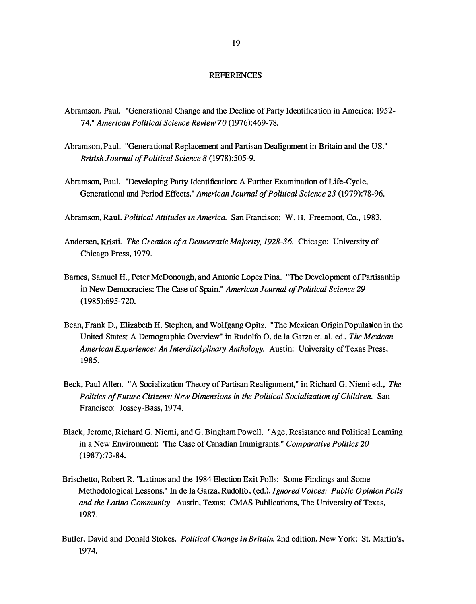#### **REFERENCES**

- Abramson, Paul. "Generational Change and the Decline of Party Identification in America: 1952- 74." American Political Science Review 70 (1976):469-78.
- Abramson, Paul. "Generational Replacement and Partisan Dealignment in Britain and the US." British Journal of Political Science 8 (1978):505-9.
- Abramson, Paul. "Developing Party Identification: A Further Examination of Life-Cycle, Generational and Period Effects." American Journal of Political Science 23 (1979):78-96.

Abramson, Raul. Political Attitudes in America. San Francisco: W. H. Freemont, Co., 1983.

- Andersen, Kristi. The Creation of a Democratic Majority, 1928-36. Chicago: University of Chicago Press, 1979.
- Barnes, Samuel H., Peter McDonough, and Antonio Lopez Pina. "The Development of Partisanhip in New Democracies: The Case of Spain." American Journal of Political Science 29 (1985):695-720.
- Bean, Frank D., Elizabeth H. Stephen, and Wolfgang Opitz. "The Mexican Origin Population in the United States: A Demographic Overview" in Rudolfo 0. de la Garza et. al. ed., The Mexican American Experience: An Interdisciplinary Anthology. Austin: University of Texas Press, 1985.
- Beck, Paul Allen. "A Socialization Theory of Partisan Realignment," in Richard G. Niemi ed., The Politics of Future Citizens: New Dimensions in the Political Socialization of Children. San Francisco: Jossey-Bass, 1974.
- Black, Jerome, Richard G. Niemi, and G. Bingham Powell. "Age, Resistance and Political Leaming in a New Environment: The Case of Canadian Immigrants." Comparative Politics 20 (1987):73-84.
- Brischetto, Robert R. "Latinos and the 1984 Election Exit Polls: Some Findings and Some Methodological Lessons." In de la Garza, Rudolfo, (ed.), Ignored Voices: Public Opinion Polls and the Latino Community. Austin, Texas: CMAS Publications, The University of Texas, 1987.
- Butler, David and Donald Stokes. Political Change in Britain. 2nd edition, New York: St. Martin's, 1974.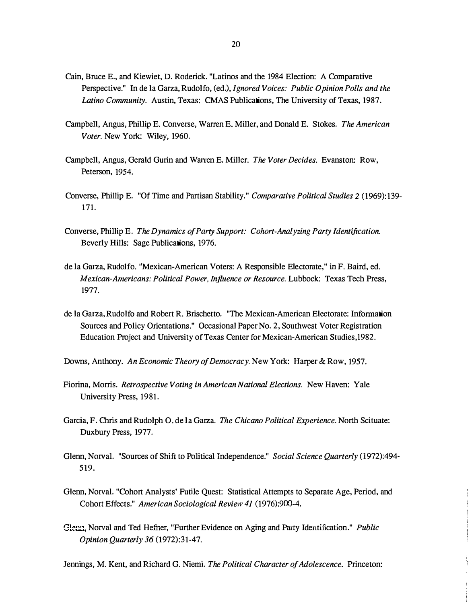- Cain, Bruce E., and Kiewiet, D. Roderick. "Latinos and the 1984 Election: A Comparative Perspective." In de la Garza, Rudolfo, (ed.), Ignored Voices: Public Opinion Polls and the Latino Community. Austin, Texas: CMAS Publications, The University of Texas, 1987.
- Campbell, Angus, Phillip E. Converse, Warren E. Miller, and Donald E. Stokes. The American Voter. New York: Wiley, 1960.
- Campbell, Angus, Gerald Gurin and Warren E. Miller. The Voter Decides. Evanston: Row, Peterson, 1954.
- Converse, Phillip E. "Of Time and Partisan Stability." Comparative Political Studies 2 (1969): 139- 171.
- Converse, Phillip E. The Dynamics of Party Support: Cohort-Analyzing Party Identification. Beverly Hills: Sage Publications, 1976.
- de la Garza, Rudolfo. "Mexican-American Voters: A Responsible Electorate," in F. Baird, ed. Mexican-Americans: Political Power, Influence or Resource. Lubbock: Texas Tech Press, 1977.
- de la Garza, Rudolfo and Robert R. Brischetto. "The Mexican-American Electorate: Information Sources and Policy Orientations." Occasional Paper No. 2, Southwest Voter Registration Education Project and University of Texas Center for Mexican-American Studies,1982.
- Downs, Anthony. An Economic Theory of Democracy. New York: Harper & Row, 1957.
- Fiorina, Morris. Retrospective Voting in American National Elections. New Haven: Yale University Press, 1981.
- Garcia, F. Chris and Rudolph 0. de la Garza. The Chicano Political Experience. North Scituate: Duxbury Press, 1977.
- Glenn, Norval. "Sources of Shift to Political Independence." Social Science Quarterly (1972):494-519.
- Glenn, Norval. "Cohort Analysts' Futile Quest: Statistical Attempts to Separate Age, Period, and Cohort Effects." American Sociological Review 41 (1976):900-4.
- Glenn, Norval and Ted Hefner, "Further Evidence on Aging and Party Identification." Public Opinion Quarterly 36 (1972):31-47.

Jennings, M. Kent, and Richard G. Niemi. The Political Character of Adolescence. Princeton: